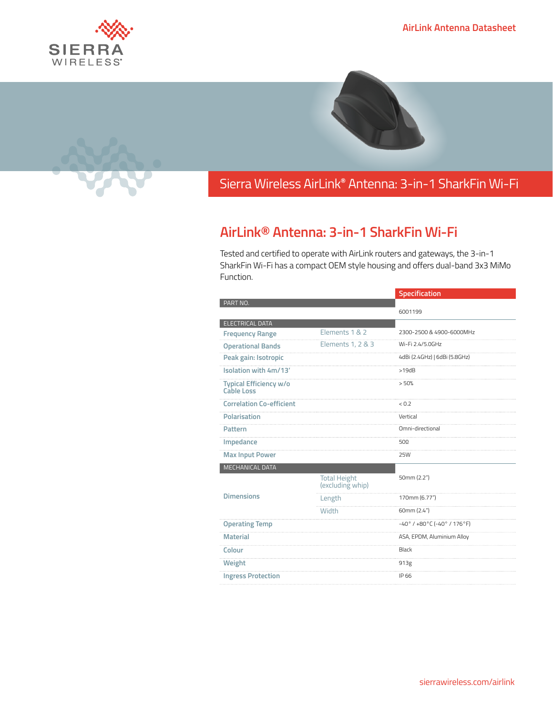



## Sierra Wireless **EMBEDDED MODULES HL SERIES** AirLink**®** Antenna: 3-in-1 SharkFin Wi-Fi

## **AirLink® Antenna: 3-in-1 SharkFin Wi-Fi**

Tested and certified to operate with AirLink routers and gateways, the 3-in-1 SharkFin Wi-Fi has a compact OEM style housing and offers dual-band 3x3 MiMo Function.

|                                             |                                         | <b>Specification</b>                           |
|---------------------------------------------|-----------------------------------------|------------------------------------------------|
| PART NO.                                    |                                         |                                                |
|                                             |                                         | 6001199                                        |
| <b>ELECTRICAL DATA</b>                      |                                         |                                                |
| <b>Frequency Range</b>                      | Elements 1 & 2                          | 2300-2500 & 4900-6000MHz                       |
| <b>Operational Bands</b>                    | Elements 1, 2 & 3                       | Wi-Fi 2.4/5.0GHz                               |
| Peak gain: Isotropic                        |                                         | 4dBi (2.4GHz)   6dBi (5.8GHz)                  |
| Isolation with 4m/13'                       |                                         | >19dB                                          |
| <b>Typical Efficiency w/o</b><br>Cable Loss |                                         | > 50%                                          |
| <b>Correlation Co-efficient</b>             |                                         | < 0.2                                          |
| Polarisation                                |                                         | Vertical                                       |
| <b>Pattern</b>                              |                                         | Omni-directional                               |
| Impedance                                   |                                         | 50 $\Omega$                                    |
| <b>Max Input Power</b>                      |                                         | 25W                                            |
| <b>MECHANICAL DATA</b>                      |                                         |                                                |
|                                             | <b>Total Height</b><br>(excluding whip) | 50mm (2.2")                                    |
| <b>Dimensions</b>                           | Length                                  | 170mm (6.77")                                  |
|                                             | Width                                   | 60mm (2.4")                                    |
| <b>Operating Temp</b>                       |                                         | $-40^{\circ}$ / $+80^{\circ}$ C (-40° / 176°F) |
| <b>Material</b>                             |                                         | ASA, EPDM, Aluminium Alloy                     |
| Colour                                      |                                         | Black                                          |
| Weight                                      |                                         | 913g                                           |
| <b>Ingress Protection</b>                   |                                         | IP 66                                          |
|                                             |                                         |                                                |